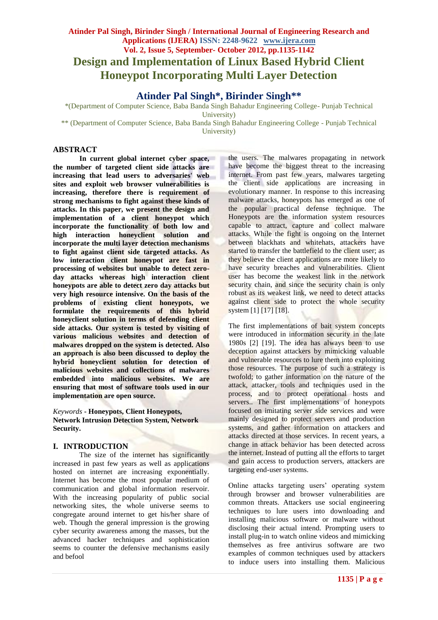# **Atinder Pal Singh, Birinder Singh / International Journal of Engineering Research and Applications (IJERA) ISSN: 2248-9622 www.ijera.com Vol. 2, Issue 5, September- October 2012, pp.1135-1142 Design and Implementation of Linux Based Hybrid Client Honeypot Incorporating Multi Layer Detection**

# **Atinder Pal Singh\*, Birinder Singh\*\***

\*(Department of Computer Science, Baba Banda Singh Bahadur Engineering College- Punjab Technical University)

\*\* (Department of Computer Science, Baba Banda Singh Bahadur Engineering College - Punjab Technical University)

## **ABSTRACT**

**In current global internet cyber space, the number of targeted client side attacks are increasing that lead users to adversaries' web sites and exploit web browser vulnerabilities is increasing, therefore there is requirement of strong mechanisms to fight against these kinds of attacks. In this paper, we present the design and implementation of a client honeypot which incorporate the functionality of both low and high interaction honeyclient solution and incorporate the multi layer detection mechanisms to fight against client side targeted attacks. As low interaction client honeypot are fast in processing of websites but unable to detect zeroday attacks whereas high interaction client honeypots are able to detect zero day attacks but very high resource intensive. On the basis of the problems of existing client honeypots, we formulate the requirements of this hybrid honeyclient solution in terms of defending client side attacks. Our system is tested by visiting of various malicious websites and detection of malwares dropped on the system is detected. Also an approach is also been discussed to deploy the hybrid honeyclient solution for detection of malicious websites and collections of malwares embedded into malicious websites. We are ensuring that most of software tools used in our implementation are open source.**

*Keywords* **- Honeypots, Client Honeypots, Network Intrusion Detection System, Network Security.**

### **I. INTRODUCTION**

The size of the internet has significantly increased in past few years as well as applications hosted on internet are increasing exponentially. Internet has become the most popular medium of communication and global information reservoir. With the increasing popularity of public social networking sites, the whole universe seems to congregate around internet to get his/her share of web. Though the general impression is the growing cyber security awareness among the masses, but the advanced hacker techniques and sophistication seems to counter the defensive mechanisms easily and befool

the users. The malwares propagating in network have become the biggest threat to the increasing internet. From past few years, malwares targeting the client side applications are increasing in evolutionary manner. In response to this increasing malware attacks, honeypots has emerged as one of the popular practical defense technique. The Honeypots are the information system resources capable to attract, capture and collect malware attacks. While the fight is ongoing on the Internet between blackhats and whitehats, attackers have started to transfer the battlefield to the client user; as they believe the client applications are more likely to have security breaches and vulnerabilities. Client user has become the weakest link in the network security chain, and since the security chain is only robust as its weakest link, we need to detect attacks against client side to protect the whole security system [1] [17] [18].

The first implementations of bait system concepts were introduced in information security in the late 1980s [2] [19]. The idea has always been to use deception against attackers by mimicking valuable and vulnerable resources to lure them into exploiting those resources. The purpose of such a strategy is twofold; to gather information on the nature of the attack, attacker, tools and techniques used in the process, and to protect operational hosts and servers.. The first implementations of honeypots focused on imitating server side services and were mainly designed to protect servers and production systems, and gather information on attackers and attacks directed at those services. In recent years, a change in attack behavior has been detected across the internet. Instead of putting all the efforts to target and gain access to production servers, attackers are targeting end-user systems.

Online attacks targeting users' operating system through browser and browser vulnerabilities are common threats. Attackers use social engineering techniques to lure users into downloading and installing malicious software or malware without disclosing their actual intend. Prompting users to install plug-in to watch online videos and mimicking themselves as free antivirus software are two examples of common techniques used by attackers to induce users into installing them. Malicious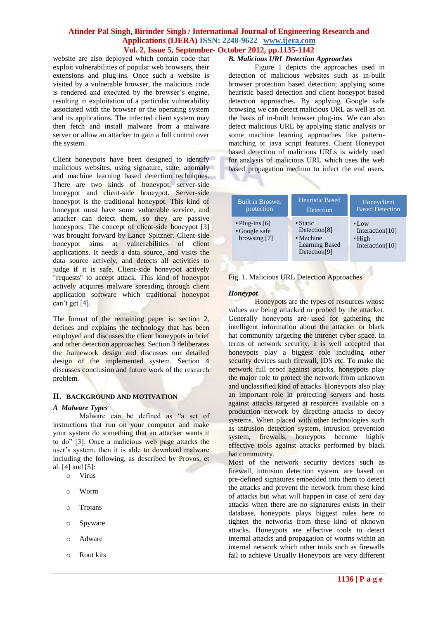website are also deployed which contain code that exploit vulnerabilities of popular web browsers, their extensions and plug-ins. Once such a website is visited by a vulnerable browser, the malicious code is rendered and executed by the browser's engine, resulting in exploitation of a particular vulnerability associated with the browser or the operating system and its applications. The infected client system may then fetch and install malware from a malware server or allow an attacker to gain a full control over the system.

Client honeypots have been designed to identify malicious websites, using signature, state, anomaly and machine learning based detection techniques. There are two kinds of honeypot, server-side honeypot and client-side honeypot. Server-side honeypot is the traditional honeypot. This kind of honeypot must have some vulnerable service, and attacker can detect them, so they are passive honeypots. The concept of client-side honeypot [3] was brought forward by Lance Spitzner. Client-side honeypot aims at vulnerabilities of client applications. It needs a data source, and visits the data source actively, and detects all activities to judge if it is safe. Client-side honeypot actively "requests" to accept attack. This kind of honeypot actively acquires malware spreading through client application software which traditional honeypot can't get [4].

The format of the remaining paper is: section 2, defines and explains the technology that has been employed and discusses the client honeypots in brief and other detection approaches. Section 3 deliberates the framework design and discusses our detailed design of the implemented system. Section 4 discusses conclusion and future work of the research problem.

#### **II. BACKGROUND AND MOTIVATION**

#### *A Malware Types*

Malware can be defined as "a set of instructions that run on your computer and make your system do something that an attacker wants it to do" [3]. Once a malicious web page attacks the user's system, then it is able to download malware including the following, as described by Provos, et al. [4] and [5]:

- o Virus
- o Worm
- o Trojans
- o Spyware
- o Adware
- o Root kits

#### *B. Malicious URL Detection Approaches*

Figure 1 depicts the approaches used in detection of malicious websites such as in-built browser protection based detection; applying some heuristic based detection and client honeypot based detection approaches. By applying Google safe browsing we can detect malicious URL as well as on the basis of in-built browser plug-ins. We can also detect malicious URL by applying static analysis or some machine learning approaches like patternmatching or java script features. Client Honeypot based detection of malicious URLs is widely used for analysis of malicious URL which uses the web based propagation medium to infect the end users.

| <b>Built in Broswer</b>                               | <b>Heuristic Based</b>                                                                          | Honeyclient                                                       |
|-------------------------------------------------------|-------------------------------------------------------------------------------------------------|-------------------------------------------------------------------|
| protection                                            | Detection                                                                                       | <b>Based Detection</b>                                            |
| $\cdot$ Plug-ins [6]<br>• Google safe<br>browsing [7] | • Static<br>Detection <sup>[8]</sup><br>• Machine<br>Learning Based<br>Detection <sup>[9]</sup> | $\cdot$ Low<br>Interaction[10]<br>$\cdot$ High<br>Interaction[10] |

|  | Fig. 1. Malicious URL Detection Approaches |  |  |  |
|--|--------------------------------------------|--|--|--|
|--|--------------------------------------------|--|--|--|

#### *Honeypot*

Honeypots are the types of resources whose values are being attacked or probed by the attacker. Generally honeypots are used for gathering the intelligent information about the attacker or black hat community targeting the intrenet cyber space. In terms of network security, it is well accepted that honeypots play a biggest role including other security devices such firewall, IDS etc. To make the network full proof against attacks, honeypots play the major role to protect the network from unknown and unclassified kind of attacks. Honeypots also play an important role in protecting servers and hosts against attacks targeted at resources available on a production network by directing attacks to decoy systems. When placed with other technologies such as intrusion detection system, intrusion prevention system, firewalls, honeypots become highly effective tools against attacks performed by black hat community.

Most of the network security devices such as firewall, intrusion detection system, are based on pre-defined signatures embedded into them to detect the attacks and prevent the network from these kind of attacks but what will happen in case of zero day attacks when there are no signatures exists in their database, honeypots plays biggest roles here to tighten the networks from these kind of nknown attacks. Honeypots are effective tools to detect internal attacks and propagation of worms within an internal network which other tools such as firewalls fail to achieve Usually Honeypots are very different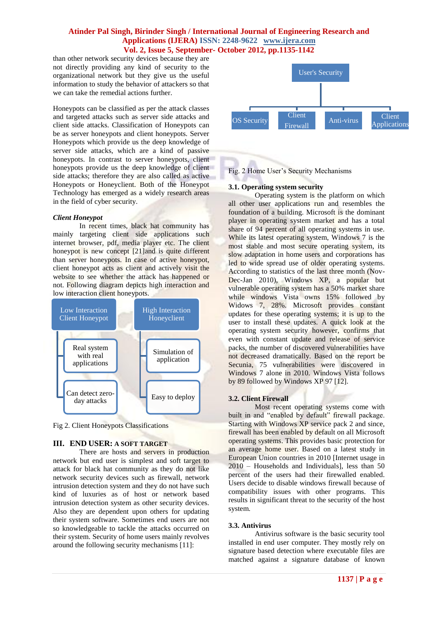than other network security devices because they are not directly providing any kind of security to the organizational network but they give us the useful information to study the behavior of attackers so that we can take the remedial actions further.

Honeypots can be classified as per the attack classes and targeted attacks such as server side attacks and client side attacks. Classification of Honeypots can be as server honeypots and client honeypots. Server Honeypots which provide us the deep knowledge of server side attacks, which are a kind of passive honeypots. In contrast to server honeypots, client honeypots provide us the deep knowledge of client side attacks; therefore they are also called as active Honeypots or Honeyclient. Both of the Honeypot Technology has emerged as a widely research areas in the field of cyber security.

#### *Client Honeypot*

In recent times, black hat community has mainly targeting client side applications such internet browser, pdf, media player etc. The client honeypot is new concept [21] and is quite different than server honeypots. In case of active honeypot, client honeypot acts as client and actively visit the website to see whether the attack has happened or not. Following diagram depicts high interaction and low interaction client honeypots.



Fig 2. Client Honeypots Classifications

#### **III. END USER: A SOFT TARGET**

There are hosts and servers in production network but end user is simplest and soft target to attack for black hat community as they do not like network security devices such as firewall, network intrusion detection system and they do not have such kind of luxuries as of host or network based intrusion detection system as other security devices. Also they are dependent upon others for updating their system software. Sometimes end users are not so knowledgeable to tackle the attacks occurred on their system. Security of home users mainly revolves around the following security mechanisms [11]:





#### **3.1. Operating system security**

Operating system is the platform on which all other user applications run and resembles the foundation of a building. Microsoft is the dominant player in operating system market and has a total share of 94 percent of all operating systems in use. While its latest operating system, Windows 7 is the most stable and most secure operating system, its slow adaptation in home users and corporations has led to wide spread use of older operating systems. According to statistics of the last three month (Nov-Dec-Jan 2010), Windows XP, a popular but vulnerable operating system has a 50% market share while windows Vista owns 15% followed by Widows 7, 28%. Microsoft provides constant updates for these operating systems; it is up to the user to install these updates. A quick look at the operating system security however, confirms that even with constant update and release of service packs, the number of discovered vulnerabilities have not decreased dramatically. Based on the report be Secunia, 75 vulnerabilities were discovered in Windows 7 alone in 2010. Windows Vista follows by 89 followed by Windows XP 97 [12].

#### **3.2. Client Firewall**

Most recent operating systems come with built in and "enabled by default" firewall package. Starting with Windows XP service pack 2 and since, firewall has been enabled by default on all Microsoft operating systems. This provides basic protection for an average home user. Based on a latest study in European Union countries in 2010 [Internet usage in 2010 – Households and Individuals], less than 50 percent of the users had their firewalled enabled. Users decide to disable windows firewall because of compatibility issues with other programs. This results in significant threat to the security of the host system.

#### **3.3. Antivirus**

Antivirus software is the basic security tool installed in end user computer. They mostly rely on signature based detection where executable files are matched against a signature database of known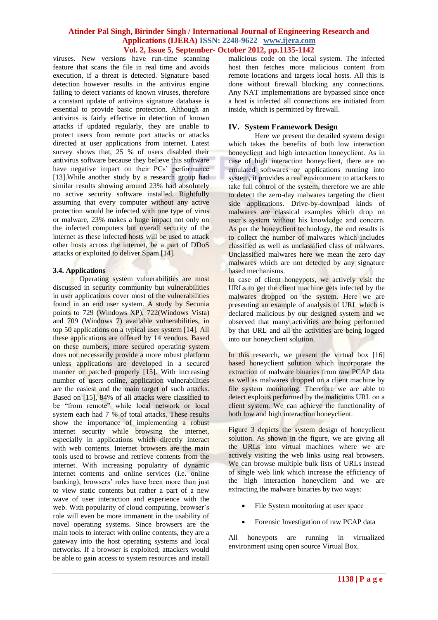viruses. New versions have run-time scanning feature that scans the file in real time and avoids execution, if a threat is detected. Signature based detection however results in the antivirus engine failing to detect variants of known viruses, therefore a constant update of antivirus signature database is essential to provide basic protection. Although an antivirus is fairly effective in detection of known attacks if updated regularly, they are unable to protect users from remote port attacks or attacks directed at user applications from internet. Latest survey shows that, 25 % of users disabled their antivirus software because they believe this software have negative impact on their PCs' performance [13].While another study by a research group had similar results showing around 23% had absolutely no active security software installed. Rightfully assuming that every computer without any active protection would be infected with one type of virus or malware, 23% makes a huge impact not only on the infected computers but overall security of the internet as these infected hosts will be used to attack other hosts across the internet, be a part of DDoS attacks or exploited to deliver Spam [14].

### **3.4. Applications**

Operating system vulnerabilities are most discussed in security community but vulnerabilities in user applications cover most of the vulnerabilities found in an end user system. A study by Secunia points to 729 (Windows XP), 722(Windows Vista) and 709 (Windows 7) available vulnerabilities, in top 50 applications on a typical user system [14]. All these applications are offered by 14 vendors. Based on these numbers, more secured operating system does not necessarily provide a more robust platform unless applications are developed in a secured manner or patched properly [15]. With increasing number of users online, application vulnerabilities are the easiest and the main target of such attacks. Based on [15], 84% of all attacks were classified to be "from remote" while local network or local system each had 7 % of total attacks. These results show the importance of implementing a robust internet security while browsing the internet, especially in applications which directly interact with web contents. Internet browsers are the main tools used to browse and retrieve contents from the internet. With increasing popularity of dynamic internet contents and online services (i.e. online banking), browsers' roles have been more than just to view static contents but rather a part of a new wave of user interaction and experience with the web. With popularity of cloud computing, browser's role will even be more immanent in the usability of novel operating systems. Since browsers are the main tools to interact with online contents, they are a gateway into the host operating systems and local networks. If a browser is exploited, attackers would be able to gain access to system resources and install

malicious code on the local system. The infected host then fetches more malicious content from remote locations and targets local hosts. All this is done without firewall blocking any connections. Any NAT implementations are bypassed since once a host is infected all connections are initiated from inside, which is permitted by firewall.

## **IV. System Framework Design**

Here we present the detailed system design which takes the benefits of both low interaction honeyclient and high interaction honeyclient. As in case of high interaction honeyclient, there are no emulated softwares or applications running into system, it provides a real environment to attackers to take full control of the system, therefore we are able to detect the zero-day malwares targeting the client side applications. Drive-by-download kinds of malwares are classical examples which drop on user's system without his knowledge and concern. As per the honeyclient technology, the end results is to collect the number of malwares which includes classified as well as unclassified class of malwares. Unclassified malwares here we mean the zero day malwares which are not detected by any signature based mechanisms.

In case of client honeypots, we actively visit the URLs to get the client machine gets infected by the malwares dropped on the system. Here we are presenting an example of analysis of URL which is declared malicious by our designed system and we observed that many activities are being performed by that URL and all the activities are being logged into our honeyclient solution.

In this research, we present the virtual box [16] based honeyclient solution which incorporate the extraction of malware binaries from raw PCAP data as well as malwares dropped on a client machine by file system monitoring. Therefore we are able to detect exploits performed by the malicious URL on a client system. We can achieve the functionality of both low and high interaction honeyclient.

Figure 3 depicts the system design of honeyclient solution. As shown in the figure, we are giving all the URLs into virtual machines where we are actively visiting the web links using real browsers. We can browse multiple bulk lists of URLs instead of single web link which increase the efficiency of the high interaction honeyclient and we are extracting the malware binaries by two ways:

- File System monitoring at user space
- Forensic Investigation of raw PCAP data

All honeypots are running in virtualized environment using open source Virtual Box.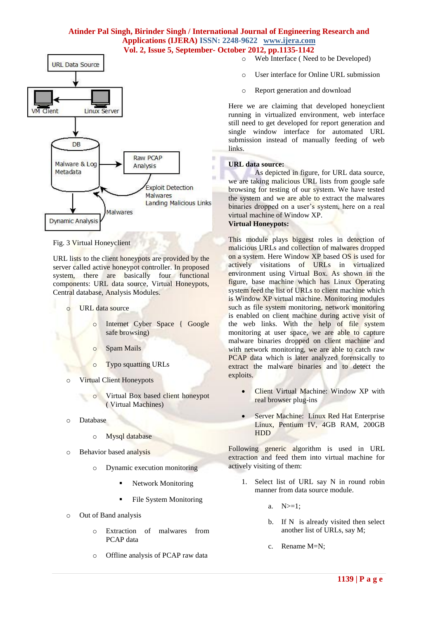

Fig. 3 Virtual Honeyclient

URL lists to the client honeypots are provided by the server called active honeypot controller. In proposed system, there are basically four functional components: URL data source, Virtual Honeypots, Central database, Analysis Modules.

- o URL data source
	- o Internet Cyber Space { Google safe browsing)
	- Spam Mails
	- o Typo squatting URLs
- o Virtual Client Honeypots
	- o Virtual Box based client honeypot ( Virtual Machines)
- o Database
	- o Mysql database
- o Behavior based analysis
	- o Dynamic execution monitoring
		- **Network Monitoring**
		- File System Monitoring
- o Out of Band analysis
	- o Extraction of malwares from PCAP data
	- o Offline analysis of PCAP raw data
- o Web Interface ( Need to be Developed)
- o User interface for Online URL submission
- o Report generation and download

Here we are claiming that developed honeyclient running in virtualized environment, web interface still need to get developed for report generation and single window interface for automated URL submission instead of manually feeding of web links.

#### **URL data source:**

As depicted in figure, for URL data source, we are taking malicious URL lists from google safe browsing for testing of our system. We have tested the system and we are able to extract the malwares binaries dropped on a user's system, here on a real virtual machine of Window XP.

## **Virtual Honeypots:**

This module plays biggest roles in detection of malicious URLs and collection of malwares dropped on a system. Here Window XP based OS is used for actively visitations of URLs in virtualized environment using Virtual Box. As shown in the figure, base machine which has Linux Operating system feed the list of URLs to client machine which is Window XP virtual machine. Monitoring modules such as file system monitoring, network monitoring is enabled on client machine during active visit of the web links. With the help of file system monitoring at user space, we are able to capture malware binaries dropped on client machine and with network monitoring, we are able to catch raw PCAP data which is later analyzed forensically to extract the malware binaries and to detect the exploits.

- Client Virtual Machine: Window XP with real browser plug-ins
- Server Machine: Linux Red Hat Enterprise Linux, Pentium IV, 4GB RAM, 200GB HDD

Following generic algorithm is used in URL extraction and feed them into virtual machine for actively visiting of them:

- 1. Select list of URL say N in round robin manner from data source module.
	- a. N>=1;
	- b. If N is already visited then select another list of URLs, say M;
	- c. Rename M=N;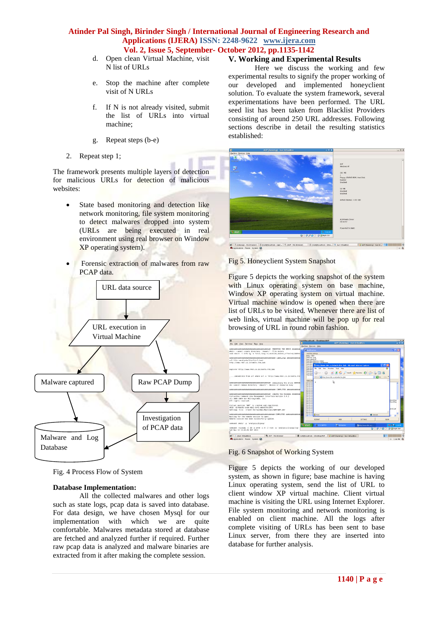- d. Open clean Virtual Machine, visit N list of URLs
- e. Stop the machine after complete visit of N URLs
- f. If N is not already visited, submit the list of URLs into virtual machine;
- g. Repeat steps (b-e)
- 2. Repeat step 1;

The framework presents multiple layers of detection for malicious URLs for detection of malicious websites:

- State based monitoring and detection like network monitoring, file system monitoring to detect malwares dropped into system (URLs are being executed in real environment using real browser on Window XP operating system).
- Forensic extraction of malwares from raw PCAP data.



Fig. 4 Process Flow of System

## **Database Implementation:**

All the collected malwares and other logs such as state logs, pcap data is saved into database. For data design, we have chosen Mysql for our implementation with which we are quite comfortable. Malwares metadata stored at database are fetched and analyzed further if required. Further raw pcap data is analyzed and malware binaries are extracted from it after making the complete session.

## **V. Working and Experimental Results**

Here we discuss the working and few experimental results to signify the proper working of our developed and implemented honeyclient solution. To evaluate the system framework, several experimentations have been performed. The URL seed list has been taken from Blacklist Providers consisting of around 250 URL addresses. Following sections describe in detail the resulting statistics established:



## Fig 5. Honeyclient System Snapshot

Figure 5 depicts the working snapshot of the system with Linux operating system on base machine, Window XP operating system on virtual machine. Virtual machine window is opened when there are list of URLs to be visited. Whenever there are list of web links, virtual machine will be pop up for real browsing of URL in round robin fashion.



Fig. 6 Snapshot of Working System

Figure 5 depicts the working of our developed system, as shown in figure; base machine is having Linux operating system, send the list of URL to client window XP virtual machine. Client virtual machine is visiting the URL using Internet Explorer. File system monitoring and network monitoring is enabled on client machine. All the logs after complete visiting of URLs has been sent to base Linux server, from there they are inserted into database for further analysis.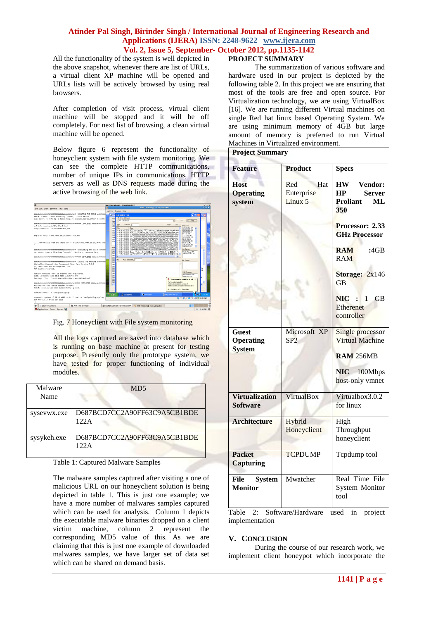All the functionality of the system is well depicted in the above snapshot, whenever there are list of URLs, a virtual client XP machine will be opened and URLs lists will be actively browsed by using real browsers.

After completion of visit process, virtual client machine will be stopped and it will be off completely. For next list of browsing, a clean virtual machine will be opened.

Below figure 6 represent the functionality of honeyclient system with file system monitoring. We can see the complete HTTP communications, number of unique IPs in communications, HTTP servers as well as DNS requests made during the active browsing of the web link.

| Machine Devices Help<br><b>COXOX</b><br><b>26 DOH SHIFFER</b><br>mkdir: cannot create directory '/mount/': File exists<br>Nebuck Interfaces<br>sudo mount -t ntfs-3g -o force.loop.rw.noatime.noexec.offset=\$[168964<br><b>Wye</b><br>203129-220-215<br>$540 - 1$<br>$\bullet$<br><b>Dela</b><br>MW<br>ACCERRAGAGERREERGAGECERRAGAGERREEGGAGEEK (IMP) FTFD SEGAGECERRAG<br>Ports 80 F<br>Dear<br>مدا<br>Cope<br><b>HTTP</b><br>Unique IPs<br>url file =analysis/l/url/url.text<br>wa<br>203129-231-221<br>Data<br>Hoot<br>has<br>203129-220-193<br>> 66.96.146.30.60 GET /webs/tin_bak.HTTP/1.1@kccept: 1/@kccept Language: en-ud@kccept-<br>Wat<br>203129-220-2<br>c- 66.96.146.30.90 HTTP/1.1.200 DK(Date: S.v. 12.Nov 2011 08:16:52 GMT Content-Tupe: texts<br><b>Wat</b><br><b>64.411.168</b><br>Wat<br>4 EE 9E 14E 30 ED 40742830292w7465273296wEZ38313E29RMu2929E92872370726v292m3<br>121.37.63.240<br>- 06.96.146.20.00 02.20217229007b207472790007b7104313b200576616a200772200b29434a5346<br>203129-220-210<br>Wat<br>- AS 96 146 30 RD 6361746360965033335070704065343440406776574757560909394043434<br>66.96146.30<br><b>Note</b><br>66.96.146.30.80 762034206e6577204172726175286e796c6c2c206e796c6c2c206e796c6c29.<br>203129-220-204<br><b>NW</b><br>L 66 96 146 20 80 204172056174654626469017429012-20225300556-2226226-24170226-2<br>cnd=delete from url where url = 'http://www.rkkr.co.in/sedts.html<br>(5.95.13.243)<br>66.96.146.30.00 399525753635366525753030373425756430666625753530353057575306565<br>239 265 265 260<br>DEALER THE TO BE INTERFERING A REPORT OF RESIDENCE OF A REPORT OF A 44 YO F ALL AND RELEASED AT LCCC.<br>2081095320<br>Note<br><- 02.56.146.30.00 @@S736361706529896-7365727455524-29632-2534303-277+63762-6769<br><b>Hitp Servers</b><br>eccannacedesannacedeccannacedesannaces Unnounting the drive memoral<br>5011<br><66.96.146.32.00 Ge05772041637403760720463542637439234574331302e527072051647<br>FAS 96 146 30 : RD<br>2011<br>$\sim$ 66.96.146.30.00 mean e-Vouden (38.14236 http://. = 38.9.4.14236 (K = 2.1000) M = 1<br>501<br>2081095320:00<br>> 66.96146.30.80 GET /zox.gl HTTP/T.1Blccept 1/1Blccept-Encoding gap, defiereBliver-Age w<br>$rac{201}{201}$<br>AGESHARAGGAARKEESAAGESHARAGGAARKEESAAGESE COMPLETED SAGAAGESEKSA<br>201<br>Portz 6660-6690<br><b>RC</b><br><b>IRC Servers</b><br><b>Box</b><br><b><i>GEESSMAGGGGANNESSGGGGEENHAGGGGANNESSGG CREATE THE MACHTNE GEESSGGG</i></b><br>501<br> 201<br>201<br>2011<br>2011<br>2011<br><b>DNS Requests</b><br>Virtual machine 'AHP' is created and registered.<br>201<br>fine sindner con-<br>201<br>UUID: d2fReROS-Scfid-4Re2-94f1-ddRd579518f9<br>smaudike op in<br>2011<br>Settings file: '/root/.VirtualBox/Machines/AWP/AWP.xml'<br>2011<br>Tour computer might be at risk<br>2011<br><b>McFernal is turned on</b><br>lon:<br>Automatic Undates is harved off<br>Arthinus software might not be installed<br>Click this balloon to fix this problem.<br><b>Q</b> Huwatter<br><b>Districtional districts</b><br><b>BIRG</b> THEFT<br><b>El start</b><br>2. ронашна<br>805000<br><b>@ 图 Nott Ctrl</b> |                                                                                                                            | root@localhost:~/Deskton/AHP                                 | $-10x$ |
|---------------------------------------------------------------------------------------------------------------------------------------------------------------------------------------------------------------------------------------------------------------------------------------------------------------------------------------------------------------------------------------------------------------------------------------------------------------------------------------------------------------------------------------------------------------------------------------------------------------------------------------------------------------------------------------------------------------------------------------------------------------------------------------------------------------------------------------------------------------------------------------------------------------------------------------------------------------------------------------------------------------------------------------------------------------------------------------------------------------------------------------------------------------------------------------------------------------------------------------------------------------------------------------------------------------------------------------------------------------------------------------------------------------------------------------------------------------------------------------------------------------------------------------------------------------------------------------------------------------------------------------------------------------------------------------------------------------------------------------------------------------------------------------------------------------------------------------------------------------------------------------------------------------------------------------------------------------------------------------------------------------------------------------------------------------------------------------------------------------------------------------------------------------------------------------------------------------------------------------------------------------------------------------------------------------------------------------------------------------------------------------------------------------------------------------------------------------------------------------------------------------------------------------------------------------------------------------------------------------------------------------------------------------------------------------------------------------------------------------------------------------------------------------------------------------------------------------------------------------------------------------------------------------------------------------------------------------------------------------------------------------------------------------------------------------------------------------------------------------------------------|----------------------------------------------------------------------------------------------------------------------------|--------------------------------------------------------------|--------|
|                                                                                                                                                                                                                                                                                                                                                                                                                                                                                                                                                                                                                                                                                                                                                                                                                                                                                                                                                                                                                                                                                                                                                                                                                                                                                                                                                                                                                                                                                                                                                                                                                                                                                                                                                                                                                                                                                                                                                                                                                                                                                                                                                                                                                                                                                                                                                                                                                                                                                                                                                                                                                                                                                                                                                                                                                                                                                                                                                                                                                                                                                                                                 | File Edit View Terminal Tabs Help                                                                                          | <b>AHP [Running] - Sun VirtualBox</b>                        | .      |
|                                                                                                                                                                                                                                                                                                                                                                                                                                                                                                                                                                                                                                                                                                                                                                                                                                                                                                                                                                                                                                                                                                                                                                                                                                                                                                                                                                                                                                                                                                                                                                                                                                                                                                                                                                                                                                                                                                                                                                                                                                                                                                                                                                                                                                                                                                                                                                                                                                                                                                                                                                                                                                                                                                                                                                                                                                                                                                                                                                                                                                                                                                                                 |                                                                                                                            |                                                              |        |
|                                                                                                                                                                                                                                                                                                                                                                                                                                                                                                                                                                                                                                                                                                                                                                                                                                                                                                                                                                                                                                                                                                                                                                                                                                                                                                                                                                                                                                                                                                                                                                                                                                                                                                                                                                                                                                                                                                                                                                                                                                                                                                                                                                                                                                                                                                                                                                                                                                                                                                                                                                                                                                                                                                                                                                                                                                                                                                                                                                                                                                                                                                                                 | <i><b>GEERNASSESSURHEESSGGEERNASSESSURHEESS</b></i> MOUNTING THE DRIVE <i>GEERNAS</i>                                      |                                                              |        |
|                                                                                                                                                                                                                                                                                                                                                                                                                                                                                                                                                                                                                                                                                                                                                                                                                                                                                                                                                                                                                                                                                                                                                                                                                                                                                                                                                                                                                                                                                                                                                                                                                                                                                                                                                                                                                                                                                                                                                                                                                                                                                                                                                                                                                                                                                                                                                                                                                                                                                                                                                                                                                                                                                                                                                                                                                                                                                                                                                                                                                                                                                                                                 |                                                                                                                            |                                                              |        |
|                                                                                                                                                                                                                                                                                                                                                                                                                                                                                                                                                                                                                                                                                                                                                                                                                                                                                                                                                                                                                                                                                                                                                                                                                                                                                                                                                                                                                                                                                                                                                                                                                                                                                                                                                                                                                                                                                                                                                                                                                                                                                                                                                                                                                                                                                                                                                                                                                                                                                                                                                                                                                                                                                                                                                                                                                                                                                                                                                                                                                                                                                                                                 |                                                                                                                            |                                                              |        |
|                                                                                                                                                                                                                                                                                                                                                                                                                                                                                                                                                                                                                                                                                                                                                                                                                                                                                                                                                                                                                                                                                                                                                                                                                                                                                                                                                                                                                                                                                                                                                                                                                                                                                                                                                                                                                                                                                                                                                                                                                                                                                                                                                                                                                                                                                                                                                                                                                                                                                                                                                                                                                                                                                                                                                                                                                                                                                                                                                                                                                                                                                                                                 |                                                                                                                            |                                                              |        |
|                                                                                                                                                                                                                                                                                                                                                                                                                                                                                                                                                                                                                                                                                                                                                                                                                                                                                                                                                                                                                                                                                                                                                                                                                                                                                                                                                                                                                                                                                                                                                                                                                                                                                                                                                                                                                                                                                                                                                                                                                                                                                                                                                                                                                                                                                                                                                                                                                                                                                                                                                                                                                                                                                                                                                                                                                                                                                                                                                                                                                                                                                                                                 |                                                                                                                            |                                                              |        |
|                                                                                                                                                                                                                                                                                                                                                                                                                                                                                                                                                                                                                                                                                                                                                                                                                                                                                                                                                                                                                                                                                                                                                                                                                                                                                                                                                                                                                                                                                                                                                                                                                                                                                                                                                                                                                                                                                                                                                                                                                                                                                                                                                                                                                                                                                                                                                                                                                                                                                                                                                                                                                                                                                                                                                                                                                                                                                                                                                                                                                                                                                                                                 | http://www.rkkr.co.in/sedts.htm bak                                                                                        |                                                              |        |
|                                                                                                                                                                                                                                                                                                                                                                                                                                                                                                                                                                                                                                                                                                                                                                                                                                                                                                                                                                                                                                                                                                                                                                                                                                                                                                                                                                                                                                                                                                                                                                                                                                                                                                                                                                                                                                                                                                                                                                                                                                                                                                                                                                                                                                                                                                                                                                                                                                                                                                                                                                                                                                                                                                                                                                                                                                                                                                                                                                                                                                                                                                                                 | explorer http://www.rkkr.co.in/sedts.htm bak                                                                               |                                                              |        |
|                                                                                                                                                                                                                                                                                                                                                                                                                                                                                                                                                                                                                                                                                                                                                                                                                                                                                                                                                                                                                                                                                                                                                                                                                                                                                                                                                                                                                                                                                                                                                                                                                                                                                                                                                                                                                                                                                                                                                                                                                                                                                                                                                                                                                                                                                                                                                                                                                                                                                                                                                                                                                                                                                                                                                                                                                                                                                                                                                                                                                                                                                                                                 | rm: cannot remove directory '/mount/': Device or resource busy                                                             |                                                              |        |
|                                                                                                                                                                                                                                                                                                                                                                                                                                                                                                                                                                                                                                                                                                                                                                                                                                                                                                                                                                                                                                                                                                                                                                                                                                                                                                                                                                                                                                                                                                                                                                                                                                                                                                                                                                                                                                                                                                                                                                                                                                                                                                                                                                                                                                                                                                                                                                                                                                                                                                                                                                                                                                                                                                                                                                                                                                                                                                                                                                                                                                                                                                                                 |                                                                                                                            |                                                              |        |
|                                                                                                                                                                                                                                                                                                                                                                                                                                                                                                                                                                                                                                                                                                                                                                                                                                                                                                                                                                                                                                                                                                                                                                                                                                                                                                                                                                                                                                                                                                                                                                                                                                                                                                                                                                                                                                                                                                                                                                                                                                                                                                                                                                                                                                                                                                                                                                                                                                                                                                                                                                                                                                                                                                                                                                                                                                                                                                                                                                                                                                                                                                                                 |                                                                                                                            |                                                              |        |
|                                                                                                                                                                                                                                                                                                                                                                                                                                                                                                                                                                                                                                                                                                                                                                                                                                                                                                                                                                                                                                                                                                                                                                                                                                                                                                                                                                                                                                                                                                                                                                                                                                                                                                                                                                                                                                                                                                                                                                                                                                                                                                                                                                                                                                                                                                                                                                                                                                                                                                                                                                                                                                                                                                                                                                                                                                                                                                                                                                                                                                                                                                                                 | VirtualBox Command Line Management Interface Version 3.0.2<br>(C) 2005-2809 Sun Microsystems, Inc.<br>All rights reserved. |                                                              |        |
|                                                                                                                                                                                                                                                                                                                                                                                                                                                                                                                                                                                                                                                                                                                                                                                                                                                                                                                                                                                                                                                                                                                                                                                                                                                                                                                                                                                                                                                                                                                                                                                                                                                                                                                                                                                                                                                                                                                                                                                                                                                                                                                                                                                                                                                                                                                                                                                                                                                                                                                                                                                                                                                                                                                                                                                                                                                                                                                                                                                                                                                                                                                                 |                                                                                                                            |                                                              |        |
|                                                                                                                                                                                                                                                                                                                                                                                                                                                                                                                                                                                                                                                                                                                                                                                                                                                                                                                                                                                                                                                                                                                                                                                                                                                                                                                                                                                                                                                                                                                                                                                                                                                                                                                                                                                                                                                                                                                                                                                                                                                                                                                                                                                                                                                                                                                                                                                                                                                                                                                                                                                                                                                                                                                                                                                                                                                                                                                                                                                                                                                                                                                                 |                                                                                                                            |                                                              |        |
|                                                                                                                                                                                                                                                                                                                                                                                                                                                                                                                                                                                                                                                                                                                                                                                                                                                                                                                                                                                                                                                                                                                                                                                                                                                                                                                                                                                                                                                                                                                                                                                                                                                                                                                                                                                                                                                                                                                                                                                                                                                                                                                                                                                                                                                                                                                                                                                                                                                                                                                                                                                                                                                                                                                                                                                                                                                                                                                                                                                                                                                                                                                                 | Waiting for the remote session to open<br>Remote session has been successfully opened.                                     |                                                              |        |
|                                                                                                                                                                                                                                                                                                                                                                                                                                                                                                                                                                                                                                                                                                                                                                                                                                                                                                                                                                                                                                                                                                                                                                                                                                                                                                                                                                                                                                                                                                                                                                                                                                                                                                                                                                                                                                                                                                                                                                                                                                                                                                                                                                                                                                                                                                                                                                                                                                                                                                                                                                                                                                                                                                                                                                                                                                                                                                                                                                                                                                                                                                                                 | command :mkdir -p 'analysis/l/pcap'                                                                                        |                                                              |        |
|                                                                                                                                                                                                                                                                                                                                                                                                                                                                                                                                                                                                                                                                                                                                                                                                                                                                                                                                                                                                                                                                                                                                                                                                                                                                                                                                                                                                                                                                                                                                                                                                                                                                                                                                                                                                                                                                                                                                                                                                                                                                                                                                                                                                                                                                                                                                                                                                                                                                                                                                                                                                                                                                                                                                                                                                                                                                                                                                                                                                                                                                                                                                 | command :tcpdump -C 10 -1 ethB -s 0 -Z root -w 'analysis/l/pcap/log'<br>Sat Nov 12 13:43:25 IST 2011                       |                                                              |        |
|                                                                                                                                                                                                                                                                                                                                                                                                                                                                                                                                                                                                                                                                                                                                                                                                                                                                                                                                                                                                                                                                                                                                                                                                                                                                                                                                                                                                                                                                                                                                                                                                                                                                                                                                                                                                                                                                                                                                                                                                                                                                                                                                                                                                                                                                                                                                                                                                                                                                                                                                                                                                                                                                                                                                                                                                                                                                                                                                                                                                                                                                                                                                 |                                                                                                                            |                                                              |        |
|                                                                                                                                                                                                                                                                                                                                                                                                                                                                                                                                                                                                                                                                                                                                                                                                                                                                                                                                                                                                                                                                                                                                                                                                                                                                                                                                                                                                                                                                                                                                                                                                                                                                                                                                                                                                                                                                                                                                                                                                                                                                                                                                                                                                                                                                                                                                                                                                                                                                                                                                                                                                                                                                                                                                                                                                                                                                                                                                                                                                                                                                                                                                 | <b>Ch</b> AHP - Rie Rrowser<br>■ [Sun VirtualBox]                                                                          | Toot@focahost:-Desktop/AVP<br>AHP [Running] - Sun VirtualBox |        |

Fig. 7 Honeyclient with File system monitoring

All the logs captured are saved into database which is running on base machine at present for testing purpose. Presently only the prototype system, we have tested for proper functioning of individual modules.

| Malware<br>Name | M <sub>D</sub> 5                     |
|-----------------|--------------------------------------|
| sysevwx.exe     | D687BCD7CC2A90FF63C9A5CB1BDE<br>122A |
| sysykeh.exe     | D687BCD7CC2A90FF63C9A5CB1BDE<br>122A |

Table 1: Captured Malware Samples

The malware samples captured after visiting a one of malicious URL on our honeyclient solution is being depicted in table 1. This is just one example; we have a more number of malwares samples captured which can be used for analysis. Column 1 depicts the executable malware binaries dropped on a client victim machine, column 2 represent the corresponding MD5 value of this. As we are claiming that this is just one example of downloaded malwares samples, we have larger set of data set which can be shared on demand basis.

## **PROJECT SUMMARY**

The summarization of various software and hardware used in our project is depicted by the following table 2. In this project we are ensuring that most of the tools are free and open source. For Virtualization technology, we are using VirtualBox [16]. We are running different Virtual machines on single Red hat linux based Operating System. We are using minimum memory of 4GB but large amount of memory is preferred to run Virtual Machines in Virtualized environment.

|                                         | Product                         |                                                   |
|-----------------------------------------|---------------------------------|---------------------------------------------------|
| <b>Feature</b>                          |                                 | <b>Specs</b>                                      |
| Host                                    | Hat<br>Red                      | Vendor:<br><b>HW</b>                              |
| <b>Operating</b>                        | Enterprise                      | <b>Server</b><br>HP                               |
| system                                  | Linux <sub>5</sub>              | Proliant<br>ML<br>350                             |
|                                         |                                 | Processor: 2.33<br><b>GHz Processor</b>           |
|                                         |                                 | <b>RAM</b><br>:4GB<br><b>RAM</b>                  |
|                                         |                                 | Storage: 2x146<br><b>GB</b>                       |
|                                         |                                 | NIC:<br>1<br><b>GB</b><br>Etherenet<br>controller |
| Guest<br>Operating                      | Microsoft XP<br>SP <sub>2</sub> | Single processor<br><b>Virtual Machine</b>        |
| <b>System</b>                           |                                 | <b>RAM 256MB</b>                                  |
|                                         |                                 | NIC 100Mbps                                       |
|                                         |                                 | host-only vmnet                                   |
| <b>Virtualization</b>                   | <b>VirtualBox</b>               | Virtualbox3.0.2                                   |
| <b>Software</b>                         |                                 | for linux                                         |
| <b>Architecture</b>                     | Hybrid                          | High                                              |
|                                         | Honeyclient                     | Throughput                                        |
|                                         |                                 | honeyclient                                       |
| <b>Packet</b><br><b>Capturing</b>       | <b>TCPDUMP</b>                  | Tcpdump tool                                      |
|                                         |                                 |                                                   |
| File<br><b>System</b><br><b>Monitor</b> | Mwatcher                        | Real Time File<br><b>System Monitor</b><br>tool   |

Table 2: Software/Hardware used in project implementation

## **V. CONCLUSION**

During the course of our research work, we implement client honeypot which incorporate the